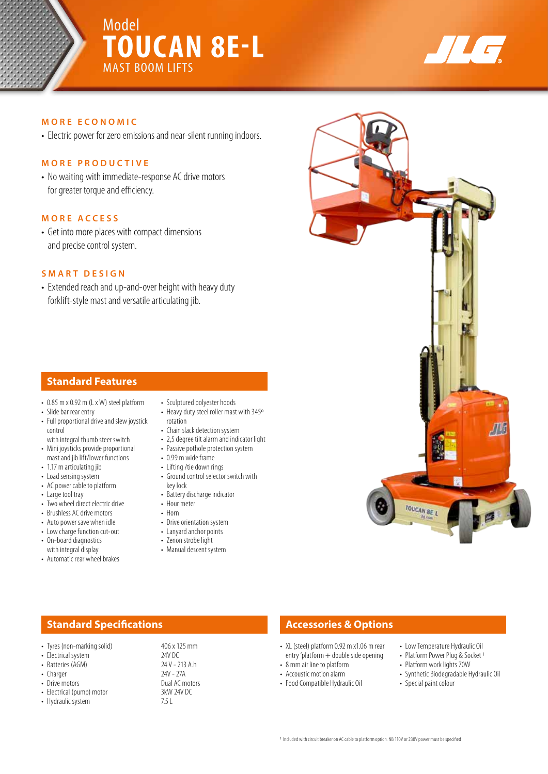# Model **TOUCAN 8E-L** MAST BOOM LIFTS



## **MORE ECONOMIC**

• Electric power for zero emissions and near-silent running indoors.

### **MORE PRODUCTIVE**

• No waiting with immediate-response AC drive motors for greater torque and efficiency.

## **MORE ACCESS**

• Get into more places with compact dimensions and precise control system.

#### **SMART DESIGN**

• Extended reach and up-and-over height with heavy duty forklift-style mast and versatile articulating jib.

# **Standard Features**

- 0.85 m x 0.92 m (L x W) steel platform
- Slide bar rear entry
- Full proportional drive and slew joystick control
- with integral thumb steer switch • Mini joysticks provide proportional mast and jib lift/lower functions
- 1.17 m articulating jib
- Load sensing system
- AC power cable to platform
- Large tool tray
- Two wheel direct electric drive
- Brushless AC drive motors
- Auto power save when idle
- Low charge function cut-out • On-board diagnostics
- with integral display
- Automatic rear wheel brakes
- Sculptured polyester hoods
- Heavy duty steel roller mast with 345º rotation
- Chain slack detection system
- 2,5 degree tilt alarm and indicator light
- Passive pothole protection system • 0.99 m wide frame
- Lifting /tie down rings
- Ground control selector switch with key lock
- Battery discharge indicator
- Hour meter
- Horn
- Drive orientation system
- Lanyard anchor points
- Zenon strobe light
- Manual descent system

# **Standard Specifications Accessories & Options**

- Tyres (non-marking solid) 406 x 125 mm<br>• Flectrical system 24V DC
- 
- Batteries (AGM) 24 V 213<br>• Charger 20 24 V 27 A
- Charger
- 
- Electrical (pump) motor 3kW<br>• Hydraulic system 7.5 L • Hydraulic system
- Electrical system 24V DC<br>• Batteries (AGM) 24V 213 A b
- Drive motors **Dual AC motors**<br>• Flectrical (nump) motor **Dual AC motors** 3kW 24V DC

- XL (steel) platform 0.92 m x1.06 m rear entry 'platform + double side opening
- 8 mm air line to platform
- Accoustic motion alarm
- Food Compatible Hydraulic Oil
- Low Temperature Hydraulic Oil • Platform Power Plug & Socket 1
- Platform work lights 70W
- Synthetic Biodegradable Hydraulic Oil
- Special paint colour
- 1 Included with circuit breaker on AC cable to platform option. NB 110V or 230V power must be specified